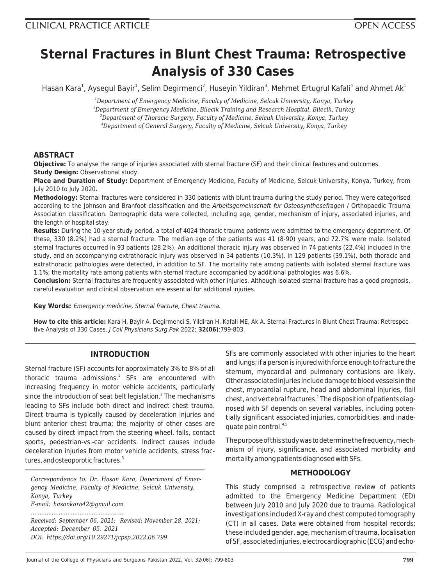# **Sternal Fractures in Blunt Chest Trauma: Retrospective Analysis of 330 Cases**

Hasan Kara<sup>1</sup>, Aysegul Bayir<sup>1</sup>, Selim Degirmenci<sup>2</sup>, Huseyin Yildiran<sup>3</sup>, Mehmet Ertugrul Kafali<sup>4</sup> and Ahmet Ak<sup>1</sup>

*<sup>1</sup>Department of Emergency Medicine, Faculty of Medicine, Selcuk University, Konya, Turkey*

*<sup>2</sup>Department of Emergency Medicine, Bilecik Training and Research Hospital, Bilecik, Turkey*

*<sup>3</sup>Department of Thoracic Surgery, Faculty of Medicine, Selcuk University, Konya, Turkey*

*<sup>4</sup>Department of General Surgery, Faculty of Medicine, Selcuk University, Konya, Turkey*

# **ABSTRACT**

**Objective:** To analyse the range of injuries associated with sternal fracture (SF) and their clinical features and outcomes. **Study Design:** Observational study.

**Place and Duration of Study:** Department of Emergency Medicine, Faculty of Medicine, Selcuk University, Konya, Turkey, from July 2010 to July 2020.

**Methodology:** Sternal fractures were considered in 330 patients with blunt trauma during the study period. They were categorised according to the Johnson and Branfoot classification and the Arbeitsgemeinschaft fur Osteosynthesefragen / Orthopaedic Trauma Association classification. Demographic data were collected, including age, gender, mechanism of injury, associated injuries, and the length of hospital stay.

**Results:** During the 10-year study period, a total of 4024 thoracic trauma patients were admitted to the emergency department. Of these, 330 (8.2%) had a sternal fracture. The median age of the patients was 41 (8-90) years, and 72.7% were male. Isolated sternal fractures occurred in 93 patients (28.2%). An additional thoracic injury was observed in 74 patients (22.4%) included in the study, and an accompanying extrathoracic injury was observed in 34 patients (10.3%). In 129 patients (39.1%), both thoracic and extrathoracic pathologies were detected, in addition to SF. The mortality rate among patients with isolated sternal fracture was 1.1%; the mortality rate among patients with sternal fracture accompanied by additional pathologies was 6.6%.

**Conclusion:** Sternal fractures are frequently associated with other injuries. Although isolated sternal fracture has a good prognosis, careful evaluation and clinical observation are essential for additional injuries.

**Key Words:** Emergency medicine, Sternal fracture, Chest trauma.

**How to cite this article:** Kara H, Bayir A, Degirmenci S, Yildiran H, Kafali ME, Ak A. Sternal Fractures in Blunt Chest Trauma: Retrospective Analysis of 330 Cases. J Coll Physicians Surg Pak 2022; **32(06)**:799-803.

# **INTRODUCTION**

Sternal fracture (SF) accounts for approximately 3% to 8% of all thoracic trauma admissions.<sup>1</sup> SFs are encountered with increasing frequency in motor vehicle accidents, particularly since the introduction of seat belt legislation.<sup>2</sup> The mechanisms leading to SFs include both direct and indirect chest trauma. Direct trauma is typically caused by deceleration injuries and blunt anterior chest trauma; the majority of other cases are caused by direct impact from the steering wheel, falls, contact sports, pedestrian-vs.-car accidents. Indirect causes include deceleration injuries from motor vehicle accidents, stress fractures, and osteoporotic fractures.<sup>3</sup>

*Correspondence to: Dr. Hasan Kara, Department of Emergency Medicine, Faculty of Medicine, Selcuk University, Konya, Turkey E-mail: hasankara42@gmail.com*

*Received: September 06, 2021; Revised: November 28, 2021; Accepted: December 05, 2021 DOI: https://doi.org/10.29271/jcpsp.2022.06.799*

*.....................................................*

SFs are commonly associated with other injuries to the heart and lungs; if a person is injured with force enough to fracture the sternum, myocardial and pulmonary contusions are likely. Other associated injuries include damage to blood vessels in the chest, myocardial rupture, head and abdominal injuries, flail chest, and vertebral fractures.<sup>1</sup> The disposition of patients diagnosed with SF depends on several variables, including potentially significant associated injuries, comorbidities, and inadequate pain control.4,5

The purpose of this study was to determine the frequency, mechanism of injury, significance, and associated morbidity and mortality among patients diagnosed with SFs.

#### **METHODOLOGY**

This study comprised a retrospective review of patients admitted to the Emergency Medicine Department (ED) between July 2010 and July 2020 due to trauma. Radiological investigations included X-ray and chest computed tomography (CT) in all cases. Data were obtained from hospital records; these included gender, age, mechanism of trauma, localisation of SF, associated injuries, electrocardiographic (ECG) and echo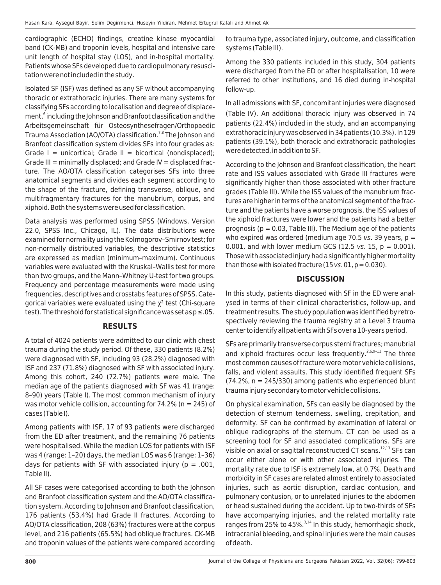cardiographic (ECHO) findings, creatine kinase myocardial band (CK-MB) and troponin levels, hospital and intensive care unit length of hospital stay (LOS), and in-hospital mortality. Patients whose SFs developed due to cardiopulmonary resuscitation were not included in the study.

Isolated SF (ISF) was defined as any SF without accompanying thoracic or extrathoracic injuries. There are many systems for classifying SFs according to localisation and degree of displacement, $^{\rm 6}$  including the Johnson and Branfoot classification and the Arbeitsgemeinschaft für Osteosynthesefragen/Orthopaedic Trauma Association (AO/OTA) classification.<sup>7,8</sup> The Johnson and Branfoot classification system divides SFs into four grades as: Grade  $I =$  unicortical; Grade  $II =$  bicortical (nondisplaced); Grade III = minimally displaced; and Grade IV = displaced fracture. The AO/OTA classification categorises SFs into three anatomical segments and divides each segment according to the shape of the fracture, defining transverse, oblique, and multifragmentary fractures for the manubrium, corpus, and xiphoid. Both the systems were used for classification.

Data analysis was performed using SPSS (Windows, Version 22.0, SPSS Inc., Chicago, IL). The data distributions were examined for normality using the Kolmogorov–Smirnov test; for non-normally distributed variables, the descriptive statistics are expressed as median (minimum–maximum). Continuous variables were evaluated with the Kruskal–Wallis test for more than two groups, and the Mann–Whitney U-test for two groups. Frequency and percentage measurements were made using frequencies, descriptives and crosstabs features of SPSS. Categorical variables were evaluated using the χ² test (Chi-square test). The threshold for statistical significance was set as  $p \le 0.05$ .

# **RESULTS**

A total of 4024 patients were admitted to our clinic with chest trauma during the study period. Of these, 330 patients (8.2%) were diagnosed with SF, including 93 (28.2%) diagnosed with ISF and 237 (71.8%) diagnosed with SF with associated injury. Among this cohort, 240 (72.7%) patients were male. The median age of the patients diagnosed with SF was 41 (range: 8–90) years (Table I). The most common mechanism of injury was motor vehicle collision, accounting for  $74.2\%$  (n = 245) of cases (Table I).

Among patients with ISF, 17 of 93 patients were discharged from the ED after treatment, and the remaining 76 patients were hospitalised. While the median LOS for patients with ISF was 4 (range: 1–20) days, the median LOS was 6 (range: 1–36) days for patients with SF with associated injury ( $p = .001$ , Table II).

All SF cases were categorised according to both the Johnson and Branfoot classification system and the AO/OTA classification system. According to Johnson and Branfoot classification, 176 patients (53.4%) had Grade II fractures. According to AO/OTA classification, 208 (63%) fractures were at the corpus level, and 216 patients (65.5%) had oblique fractures. CK-MB and troponin values of the patients were compared according to trauma type, associated injury, outcome, and classification systems (Table III).

Among the 330 patients included in this study, 304 patients were discharged from the ED or after hospitalisation, 10 were referred to other institutions, and 16 died during in-hospital follow-up.

In all admissions with SF, concomitant injuries were diagnosed (Table IV). An additional thoracic injury was observed in 74 patients (22.4%) included in the study, and an accompanying extrathoracic injury was observed in 34 patients (10.3%). In 129 patients (39.1%), both thoracic and extrathoracic pathologies were detected, in addition to SF.

According to the Johnson and Branfoot classification, the heart rate and ISS values associated with Grade III fractures were significantly higher than those associated with other fracture grades (Table III). While the ISS values of the manubrium fractures are higher in terms of the anatomical segment of the fracture and the patients have a worse prognosis, the ISS values of the xiphoid fractures were lower and the patients had a better prognosis ( $p = 0.03$ , Table III). The Medium age of the patients who expired was ordered (medium age 70.5 vs. 39 years,  $p =$ 0.001, and with lower medium GCS (12.5 vs. 15,  $p = 0.001$ ). Those with associated injury had a significantly higher mortality than those with isolated fracture (15  $vs. 01$ ,  $p = 0.030$ ).

# **DISCUSSION**

In this study, patients diagnosed with SF in the ED were analysed in terms of their clinical characteristics, follow-up, and treatment results. The study population was identified by retrospectively reviewing the trauma registry at a Level 3 trauma center to identify all patients with SFs over a 10-years period.

SFs are primarily transverse corpus sterni fractures; manubrial and xiphoid fractures occur less frequently.<sup>2,6,9-11</sup> The three most common causes of fracture were motor vehicle collisions, falls, and violent assaults. This study identified frequent SFs  $(74.2\%$ , n = 245/330) among patients who experienced blunt trauma injury secondary to motor vehicle collisions.

On physical examination, SFs can easily be diagnosed by the detection of sternum tenderness, swelling, crepitation, and deformity. SF can be confirmed by examination of lateral or oblique radiographs of the sternum. CT can be used as a screening tool for SF and associated complications. SFs are visible on axial or sagittal reconstructed CT scans.12,13 SFs can occur either alone or with other associated injuries. The mortality rate due to ISF is extremely low, at 0.7%. Death and morbidity in SF cases are related almost entirely to associated injuries, such as aortic disruption, cardiac contusion, and pulmonary contusion, or to unrelated injuries to the abdomen or head sustained during the accident. Up to two-thirds of SFs have accompanying injuries, and the related mortality rate ranges from 25% to 45%. $3,14$  In this study, hemorrhagic shock, intracranial bleeding, and spinal injuries were the main causes of death.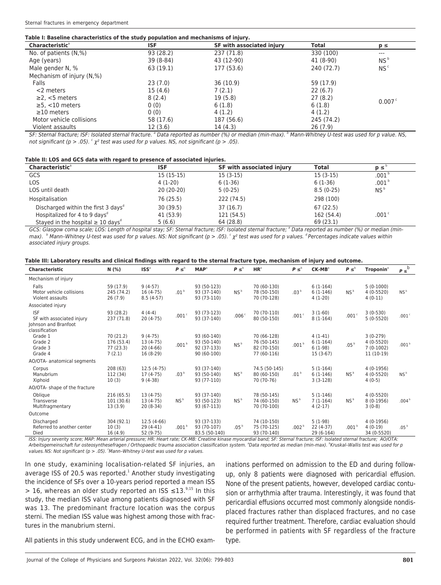| <b>Characteristic<sup>®</sup></b> | ISF       | SF with associated injury | Total      | $p \leq$        |
|-----------------------------------|-----------|---------------------------|------------|-----------------|
| No. of patients (N,%)             | 93 (28.2) | 237 (71.8)                | 330 (100)  | $---$           |
| Age (years)                       | 39 (8-84) | 43 (12-90)                | 41 (8-90)  | NS <sup>b</sup> |
| Male gender N, %                  | 63 (19.1) | 177 (53.6)                | 240 (72.7) | NS <sup>c</sup> |
| Mechanism of injury (N,%)         |           |                           |            |                 |
| Falls                             | 23(7.0)   | 36 (10.9)                 | 59 (17.9)  |                 |
| $<$ 2 meters                      | 15 (4.6)  | 7(2.1)                    | 22(6.7)    |                 |
| $\geq$ 2, <5 meters               | 8(2.4)    | 19 (5.8)                  | 27(8.2)    | 0.007c          |
| $\geq$ 5, <10 meters              | 0(0)      | 6(1.8)                    | 6(1.8)     |                 |
| $\geq$ 10 meters                  | 0(0)      | 4(1,2)                    | 4(1.2)     |                 |
| Motor vehicle collisions          | 58 (17.6) | 187 (56.6)                | 245 (74.2) |                 |
| Violent assaults                  | 12 (3.6)  | 14 (4.3)                  | 26(7.9)    |                 |

SF: Sternal fracture; ISF: Isolated sternal fracture. <sup>a</sup> Data reported as number (%) or median (min-max). <sup>8</sup> Mann-Whitney U-test was used for p value. NS, not significant (p > .05).  $\frac{c}{\chi^2}$  test was used for p values. NS, not significant (p > .05).

#### **Table II: LOS and GCS data with regard to presence of associated injuries.**

| <b>Characteristic</b> <sup>ª</sup>                 | <b>ISF</b>  | SF with associated injury | Total       | $p \leq$          |
|----------------------------------------------------|-------------|---------------------------|-------------|-------------------|
| GCS                                                | $15(15-15)$ | $15(3-15)$                | $15(3-15)$  | .001 <sup>5</sup> |
| <b>LOS</b>                                         | $4(1-20)$   | $6(1-36)$                 | $6(1-36)$   | .001 <sup>b</sup> |
| LOS until death                                    | 20 (20-20)  | $5(0-25)$                 | $8.5(0-25)$ | NS <sup>b</sup>   |
| Hospitalisation                                    | 76 (25.5)   | 222 (74.5)                | 298 (100)   |                   |
| Discharged within the first 3 days <sup>®</sup>    | 30(39.5)    | 37 (16.7)                 | 67(22.5)    |                   |
| Hospitalized for 4 to 9 days <sup>d</sup>          | 41 (53.9)   | 121 (54.5)                | 162 (54.4)  | .001 <sup>c</sup> |
| Stayed in the hospital $\geq 10$ days <sup>®</sup> | 5(6.6)      | 64 (28.8)                 | 69 (23.1)   |                   |

GCS: Glasgow coma scale; LOS: Length of hospital stay; SF: Sternal fracture; ISF: Isolated sternal fracture; <sup>a</sup> Data reported as number (%) or median (minmax). <sup>B</sup> Mann–Whitney U-test was used for p values. NS: Not significant (p > .05). <sup>c</sup>  $\chi^2$  test was used for p values. <sup>d</sup> Percentages indicate values within associated injury groups.

|  | Table III: Laboratory results and clinical findings with regard to the sternal fracture type, mechanism of injury and outcome. |
|--|--------------------------------------------------------------------------------------------------------------------------------|
|  |                                                                                                                                |

| <b>Characteristic</b>                                           | N(% )                                          | ISS <sup>a</sup>                                   | $P \leq^b$        | <b>MAP</b> <sup>a</sup>                                  | $P \leq^b$        | HR <sup>a</sup>                                          | $P \leq^b$        | $CK-MB3$                                           | $P \leq^b$        | <b>Troponin</b> <sup>a</sup>                           | $P \leq^b$        |
|-----------------------------------------------------------------|------------------------------------------------|----------------------------------------------------|-------------------|----------------------------------------------------------|-------------------|----------------------------------------------------------|-------------------|----------------------------------------------------|-------------------|--------------------------------------------------------|-------------------|
| Mechanism of injury                                             |                                                |                                                    |                   |                                                          |                   |                                                          |                   |                                                    |                   |                                                        |                   |
| Falls<br>Motor vehicle collisions<br>Violent assaults           | 59 (17.9)<br>245 (74.2)<br>26(7.9)             | $9(4-57)$<br>$16(4-75)$<br>$8.5(4-57)$             | .01 <sup>b</sup>  | 93 (50-123)<br>93 (37-140)<br>93 (73-110)                | NS <sup>b</sup>   | 70 (60-130)<br>78 (50-150)<br>70 (70-128)                | .03 <sup>b</sup>  | $6(1-164)$<br>$6(1-146)$<br>$4(1-20)$              | NS <sup>b</sup>   | $5(0-1000)$<br>$4(0-5520)$<br>$4(0-11)$                | NS <sup>b</sup>   |
| Associated injury                                               |                                                |                                                    |                   |                                                          |                   |                                                          |                   |                                                    |                   |                                                        |                   |
| <b>ISF</b><br>SF with associated injury<br>Johnson and Branfoot | 93 (28.2)<br>237 (71.8)                        | $4(4-4)$<br>$20(4-75)$                             | .001c             | 93 (73-123)<br>93 (37-140)                               | .006 <sup>c</sup> | 70 (70-110)<br>80 (50-150)                               | .001c             | $3(1-60)$<br>$8(1-164)$                            | .001c             | $3(0-530)$<br>$5(0-5520)$                              | .001 <sup>c</sup> |
| classification                                                  |                                                |                                                    |                   |                                                          |                   |                                                          |                   |                                                    |                   |                                                        |                   |
| Grade 1<br>Grade 2<br>Grade 3<br>Grade 4                        | 70 (21.2)<br>176 (53.4)<br>77 (23.3)<br>7(2.1) | $9(4-75)$<br>13 (4-75)<br>$20(4-66)$<br>$16(8-29)$ | .001 <sup>b</sup> | 93 (60-140)<br>93 (50-140)<br>92 (37-133)<br>90 (60-100) | NS <sup>b</sup>   | 70 (66-128)<br>76 (50-145)<br>82 (70-150)<br>77 (60-116) | .001 <sup>b</sup> | $4(1-41)$<br>$6(1-164)$<br>$6(1-98)$<br>$15(3-67)$ | .05 <sup>b</sup>  | $3(0-279)$<br>4 (0-5520)<br>$7(0-1002)$<br>$11(10-19)$ | .001 <sup>b</sup> |
| AO/OTA- anatomical segments                                     |                                                |                                                    |                   |                                                          |                   |                                                          |                   |                                                    |                   |                                                        |                   |
| Corpus<br>Manubrium<br>Xiphoid                                  | 208(63)<br>112 (34)<br>10(3)                   | $12.5(4-75)$<br>$17(4-75)$<br>$9(4-38)$            | .03 <sup>b</sup>  | 93 (37-140)<br>93 (50-140)<br>93 (77-110)                | NS <sup>b</sup>   | 74.5 (50-145)<br>80 (60-150)<br>70 (70-76)               | .01 <sup>b</sup>  | $5(1-164)$<br>$6(1-146)$<br>$3(3-128)$             | NS <sup>b</sup>   | $4(0-1956)$<br>$4(0-5520)$<br>$4(0-5)$                 | NS <sup>b</sup>   |
| AO/OTA- shape of the fracture                                   |                                                |                                                    |                   |                                                          |                   |                                                          |                   |                                                    |                   |                                                        |                   |
| Oblique<br>Transverse<br>Multifragmentary                       | 216(65.5)<br>101 (30.6)<br>13(3.9)             | $13(4-75)$<br>$13(4-75)$<br>$20(8-34)$             | NS <sup>b</sup>   | 93 (37-140)<br>93 (50-123)<br>93 (67-113)                | NS <sup>b</sup>   | 78 (50-145)<br>74 (60-150)<br>70 (70-100)                | NS <sup>b</sup>   | $5(1-146)$<br>$7(1-164)$<br>$4(2-17)$              | NS <sup>b</sup>   | 4 (0-5520)<br>$8(0-1956)$<br>$3(0-8)$                  | .004 <sup>b</sup> |
| Outcome                                                         |                                                |                                                    |                   |                                                          |                   |                                                          |                   |                                                    |                   |                                                        |                   |
| Discharged<br>Referred to another center<br>Died                | 304 (92.1)<br>10(3)<br>16(4.9)                 | $12.5(4-66)$<br>$29(4-41)$<br>52 (9-75)            | .001 <sup>b</sup> | 93 (37-133)<br>93 (70-107)<br>83.5 (50-140)              | .05 <sup>b</sup>  | 74 (10-150)<br>75 (70-125)<br>93 (70-140)                | .002 <sup>b</sup> | $5(1-98)$<br>$22(4-37)$<br>29 (6-164)              | .001 <sup>b</sup> | $4(0-1956)$<br>$4(0-19)$<br>34 (0-5520)                | .05 <sup>b</sup>  |

ISS: Injury severity score; MAP: Mean arterial pressure; HR: Heart rate; CK-MB: Creatine kinase myocardial band; SF: Sternal fracture; ISF: Isolated sternal fracture; AO/OTA: Arbeitsgemeinschaft fur osteosynthesefragen / Orthopaedic trauma association classification system. <sup>a</sup>Data reported as median (min-max). <sup>b</sup>Kruskal-Wallis test was used for p values. NS: Not significant ( $p > .05$ ). 'Mann-Whitney U-test was used for p values.

In one study, examining localisation-related SF injuries, an average ISS of 20.5 was reported. $<sup>1</sup>$  Another study investigating</sup> the incidence of SFs over a 10-years period reported a mean ISS > 16, whereas an older study reported an ISS  $\leq$ 13.<sup>9,15</sup> In this study, the median ISS value among patients diagnosed with SF was 13. The predominant fracture location was the corpus sterni. The median ISS value was highest among those with fractures in the manubrium sterni.

inations performed on admission to the ED and during followup, only 8 patients were diagnosed with pericardial effusion. None of the present patients, however, developed cardiac contusion or arrhythmia after trauma. Interestingly, it was found that pericardial effusions occurred most commonly alongside nondisplaced fractures rather than displaced fractures, and no case required further treatment. Therefore, cardiac evaluation should be performed in patients with SF regardless of the fracture type.

All patients in this study underwent ECG, and in the ECHO exam-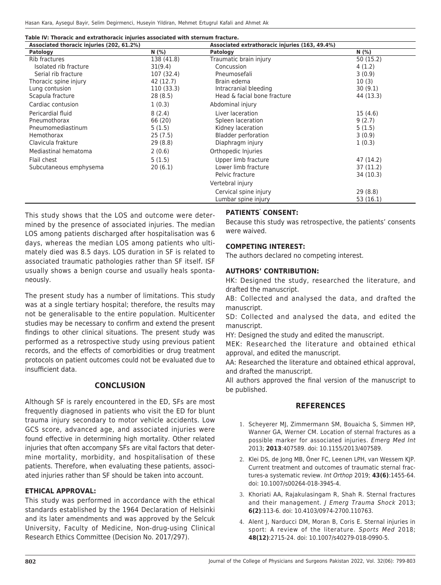Hasan Kara, Aysegul Bayir, Selim Degirmenci, Huseyin Yildiran, Mehmet Ertugrul Kafali and Ahmet Ak

| Table IV: Thoracic and extrathoracic injuries associated with sternum fracture. |  |
|---------------------------------------------------------------------------------|--|
|---------------------------------------------------------------------------------|--|

| Associated thoracic injuries (202, 61.2%) |            | Associated extrathoracic injuries (163, 49.4%) |           |
|-------------------------------------------|------------|------------------------------------------------|-----------|
| Patology                                  | N(% )      | Patology                                       | N (%)     |
| Rib fractures                             | 138 (41.8) | Traumatic brain injury                         | 50(15.2)  |
| Isolated rib fracture                     | 31(9.4)    | Concussion                                     | 4(1.2)    |
| Serial rib fracture                       | 107 (32.4) | Pneumosefali                                   | 3(0.9)    |
| Thoracic spine injury                     | 42 (12.7)  | Brain edema                                    | 10(3)     |
| Lung contusion                            | 110 (33.3) | Intracranial bleeding                          | 30(9.1)   |
| Scapula fracture                          | 28(8.5)    | Head & facial bone fracture                    | 44 (13.3) |
| Cardiac contusion                         | 1(0.3)     | Abdominal injury                               |           |
| Pericardial fluid                         | 8(2.4)     | Liver laceration                               | 15(4.6)   |
| Pneumothorax                              | 66 (20)    | Spleen laceration                              | 9(2.7)    |
| Pneumomediastinum                         | 5(1.5)     | Kidney laceration                              | 5(1.5)    |
| Hemothorax                                | 25(7.5)    | <b>Bladder perforation</b>                     | 3(0.9)    |
| Clavicula frakture                        | 29 (8.8)   | Diaphragm injury                               | 1(0.3)    |
| Mediastinal hematoma                      | 2(0.6)     | Orthopedic Injuries                            |           |
| Flail chest                               | 5(1.5)     | Upper limb fracture                            | 47 (14.2) |
| Subcutaneous emphysema                    | 20(6.1)    | Lower limb fracture                            | 37 (11.2) |
|                                           |            | Pelvic fracture                                | 34 (10.3) |
|                                           |            | Vertebral injury                               |           |
|                                           |            | Cervical spine injury                          | 29(8.8)   |
|                                           |            | Lumbar spine injury                            | 53 (16.1) |

This study shows that the LOS and outcome were determined by the presence of associated injuries. The median LOS among patients discharged after hospitalisation was 6 days, whereas the median LOS among patients who ultimately died was 8.5 days. LOS duration in SF is related to associated traumatic pathologies rather than SF itself. ISF usually shows a benign course and usually heals spontaneously.

The present study has a number of limitations. This study was at a single tertiary hospital; therefore, the results may not be generalisable to the entire population. Multicenter studies may be necessary to confirm and extend the present findings to other clinical situations. The present study was performed as a retrospective study using previous patient records, and the effects of comorbidities or drug treatment protocols on patient outcomes could not be evaluated due to insufficient data.

# **CONCLUSION**

Although SF is rarely encountered in the ED, SFs are most frequently diagnosed in patients who visit the ED for blunt trauma injury secondary to motor vehicle accidents. Low GCS score, advanced age, and associated injuries were found effective in determining high mortality. Other related injuries that often accompany SFs are vital factors that determine mortality, morbidity, and hospitalisation of these patients. Therefore, when evaluating these patients, associated injuries rather than SF should be taken into account.

#### **ETHICAL APPROVAL:**

This study was performed in accordance with the ethical standards established by the 1964 Declaration of Helsinki and its later amendments and was approved by the Selcuk University, Faculty of Medicine, Non-drug-using Clinical Research Ethics Committee (Decision No. 2017/297).

# **PATIENTS' CONSENT:**

Because this study was retrospective, the patients' consents were waived.

#### **COMPETING INTEREST:**

The authors declared no competing interest.

#### **AUTHORS' CONTRIBUTION:**

HK: Designed the study, researched the literature, and drafted the manuscript.

AB: Collected and analysed the data, and drafted the manuscript.

SD: Collected and analysed the data, and edited the manuscript.

HY: Designed the study and edited the manuscript.

MEK: Researched the literature and obtained ethical approval, and edited the manuscript.

AA: Researched the literature and obtained ethical approval, and drafted the manuscript.

All authors approved the final version of the manuscript to be published.

#### **REFERENCES**

- 1. Scheyerer MJ, Zimmermann SM, Bouaicha S, Simmen HP, Wanner GA, Werner CM. Location of sternal fractures as a possible marker for associated injuries. Emerg Med Int 2013; **2013**:407589. doi: 10.1155/2013/407589.
- 2. Klei DS, de Jong MB, Öner FC, Leenen LPH, van Wessem KJP. Current treatment and outcomes of traumatic sternal fractures-a systematic review. Int Orthop 2019; **43(6)**:1455-64. doi: 10.1007/s00264-018-3945-4.
- 3. Khoriati AA, Rajakulasingam R, Shah R. Sternal fractures and their management. *J Emerg Trauma Shock* 2013; **6(2)**:113-6. doi: 10.4103/0974-2700.110763.
- 4. Alent J, Narducci DM, Moran B, Coris E. Sternal injuries in sport: A review of the literature. Sports Med 2018; **48(12)**:2715-24. doi: 10.1007/s40279-018-0990-5.